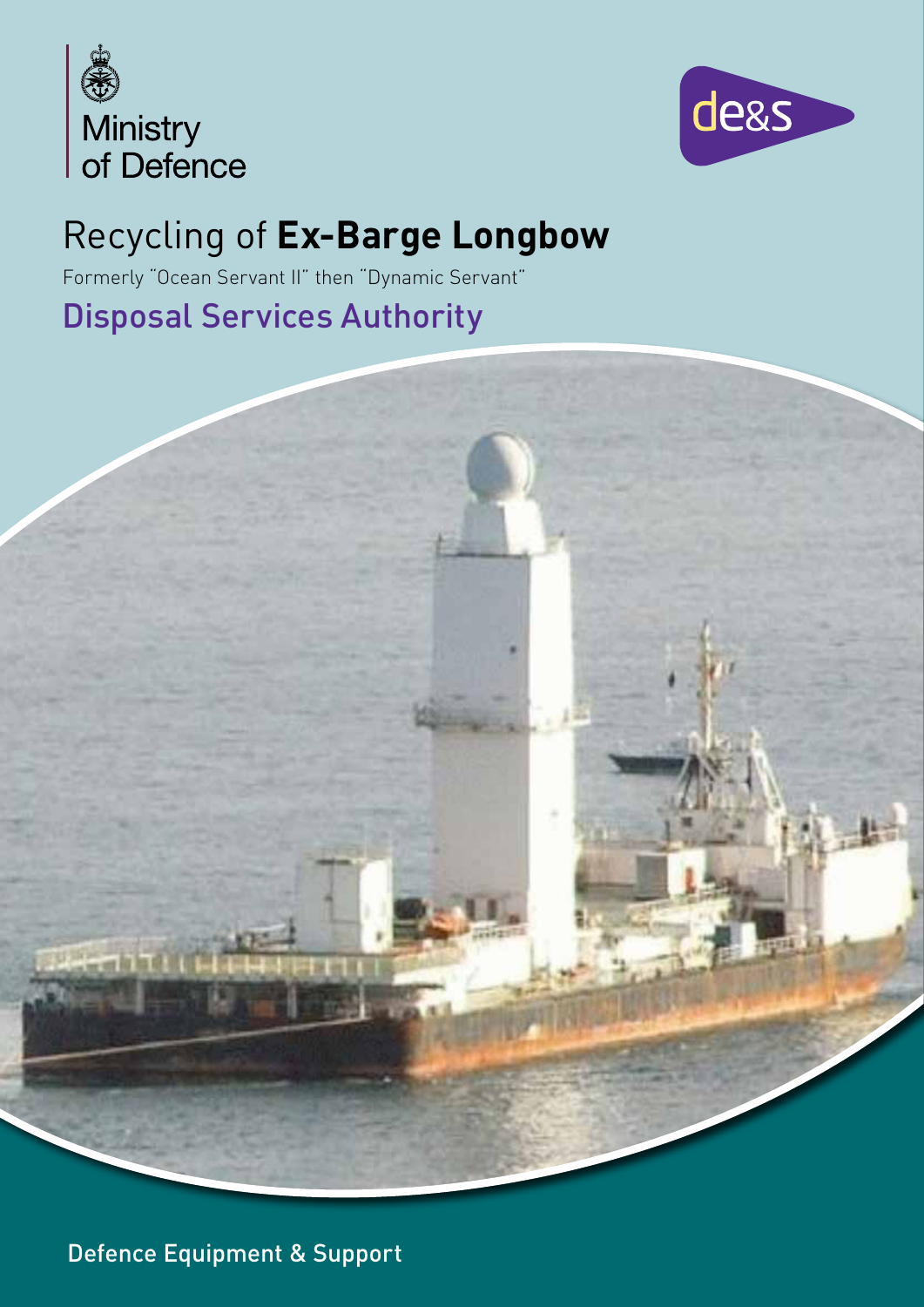



# Recycling of **Ex-Barge Longbow**

Formerly "Ocean Servant II" then "Dynamic Servant"

# Disposal Services Authority



Defence Equipment & Support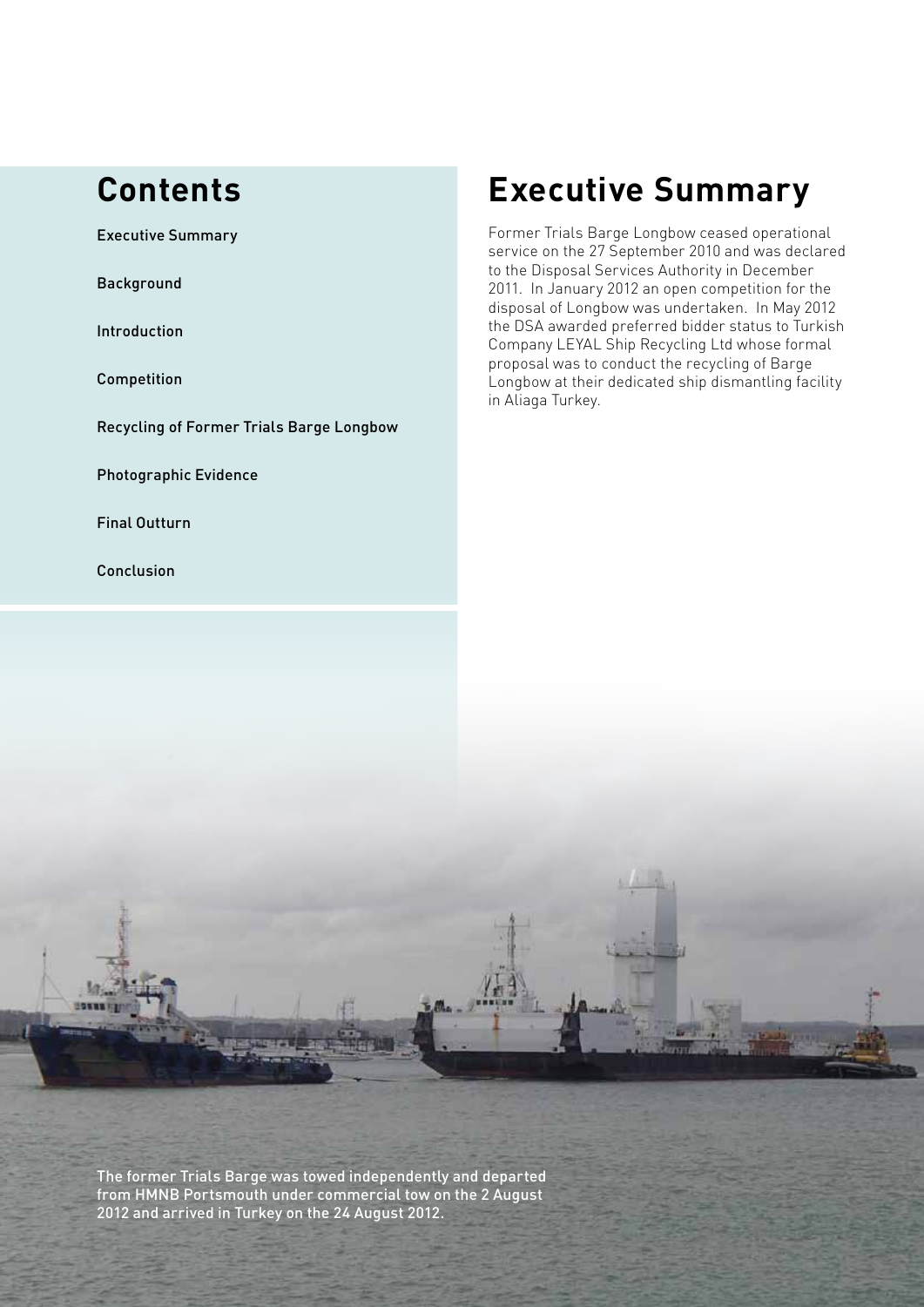### **Contents**

Executive Summary

**Background** 

Introduction

Competition

Recycling of Former Trials Barge Longbow

Photographic Evidence

Final Outturn

Conclusion

# **Executive Summary**

Former Trials Barge Longbow ceased operational service on the 27 September 2010 and was declared to the Disposal Services Authority in December 2011. In January 2012 an open competition for the disposal of Longbow was undertaken. In May 2012 the DSA awarded preferred bidder status to Turkish Company LEYAL Ship Recycling Ltd whose formal proposal was to conduct the recycling of Barge Longbow at their dedicated ship dismantling facility in Aliaga Turkey.

The former Trials Barge was towed independently and departed from HMNB Portsmouth under commercial tow on the 2 August 2012 and arrived in Turkey on the 24 August 2012.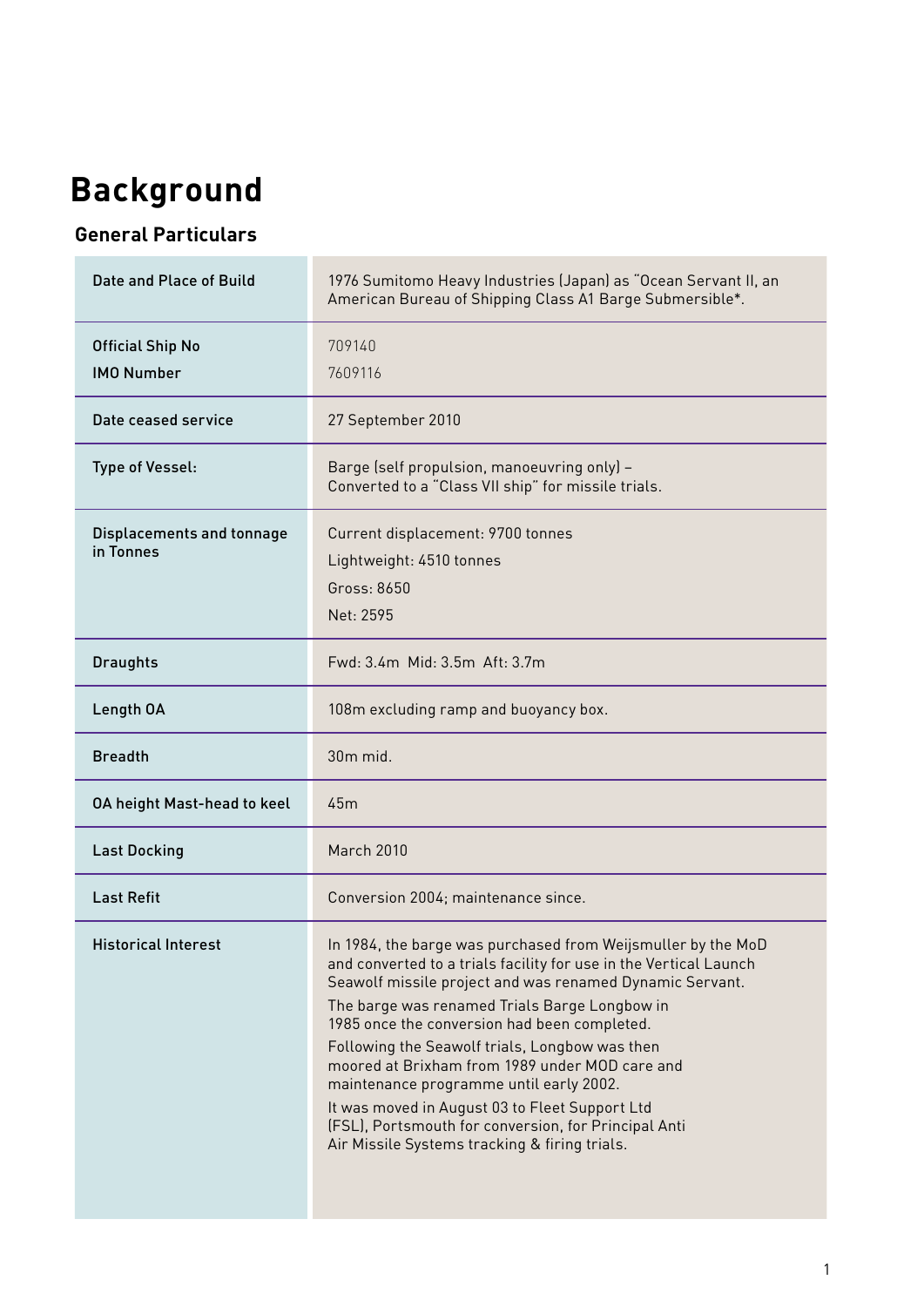# **Background**

### **General Particulars**

| Date and Place of Build                      | 1976 Sumitomo Heavy Industries (Japan) as "Ocean Servant II, an<br>American Bureau of Shipping Class A1 Barge Submersible*.                                                                                                                                                                                                                                                                                                                                                                                                                                                                              |  |  |
|----------------------------------------------|----------------------------------------------------------------------------------------------------------------------------------------------------------------------------------------------------------------------------------------------------------------------------------------------------------------------------------------------------------------------------------------------------------------------------------------------------------------------------------------------------------------------------------------------------------------------------------------------------------|--|--|
| <b>Official Ship No</b><br><b>IMO Number</b> | 709140<br>7609116                                                                                                                                                                                                                                                                                                                                                                                                                                                                                                                                                                                        |  |  |
| Date ceased service                          | 27 September 2010                                                                                                                                                                                                                                                                                                                                                                                                                                                                                                                                                                                        |  |  |
| Type of Vessel:                              | Barge (self propulsion, manoeuvring only) -<br>Converted to a "Class VII ship" for missile trials.                                                                                                                                                                                                                                                                                                                                                                                                                                                                                                       |  |  |
| Displacements and tonnage<br>in Tonnes       | Current displacement: 9700 tonnes<br>Lightweight: 4510 tonnes<br>Gross: 8650<br>Net: 2595                                                                                                                                                                                                                                                                                                                                                                                                                                                                                                                |  |  |
| <b>Draughts</b>                              | Fwd: 3.4m Mid: 3.5m Aft: 3.7m                                                                                                                                                                                                                                                                                                                                                                                                                                                                                                                                                                            |  |  |
| Length OA                                    | 108m excluding ramp and buoyancy box.                                                                                                                                                                                                                                                                                                                                                                                                                                                                                                                                                                    |  |  |
| <b>Breadth</b>                               | 30 <sub>m</sub> mid.                                                                                                                                                                                                                                                                                                                                                                                                                                                                                                                                                                                     |  |  |
| <b>OA height Mast-head to keel</b>           | 45m                                                                                                                                                                                                                                                                                                                                                                                                                                                                                                                                                                                                      |  |  |
| <b>Last Docking</b>                          | <b>March 2010</b>                                                                                                                                                                                                                                                                                                                                                                                                                                                                                                                                                                                        |  |  |
| <b>Last Refit</b>                            | Conversion 2004; maintenance since.                                                                                                                                                                                                                                                                                                                                                                                                                                                                                                                                                                      |  |  |
| <b>Historical Interest</b>                   | In 1984, the barge was purchased from Weijsmuller by the MoD<br>and converted to a trials facility for use in the Vertical Launch<br>Seawolf missile project and was renamed Dynamic Servant.<br>The barge was renamed Trials Barge Longbow in<br>1985 once the conversion had been completed.<br>Following the Seawolf trials, Longbow was then<br>moored at Brixham from 1989 under MOD care and<br>maintenance programme until early 2002.<br>It was moved in August 03 to Fleet Support Ltd<br>(FSL), Portsmouth for conversion, for Principal Anti<br>Air Missile Systems tracking & firing trials. |  |  |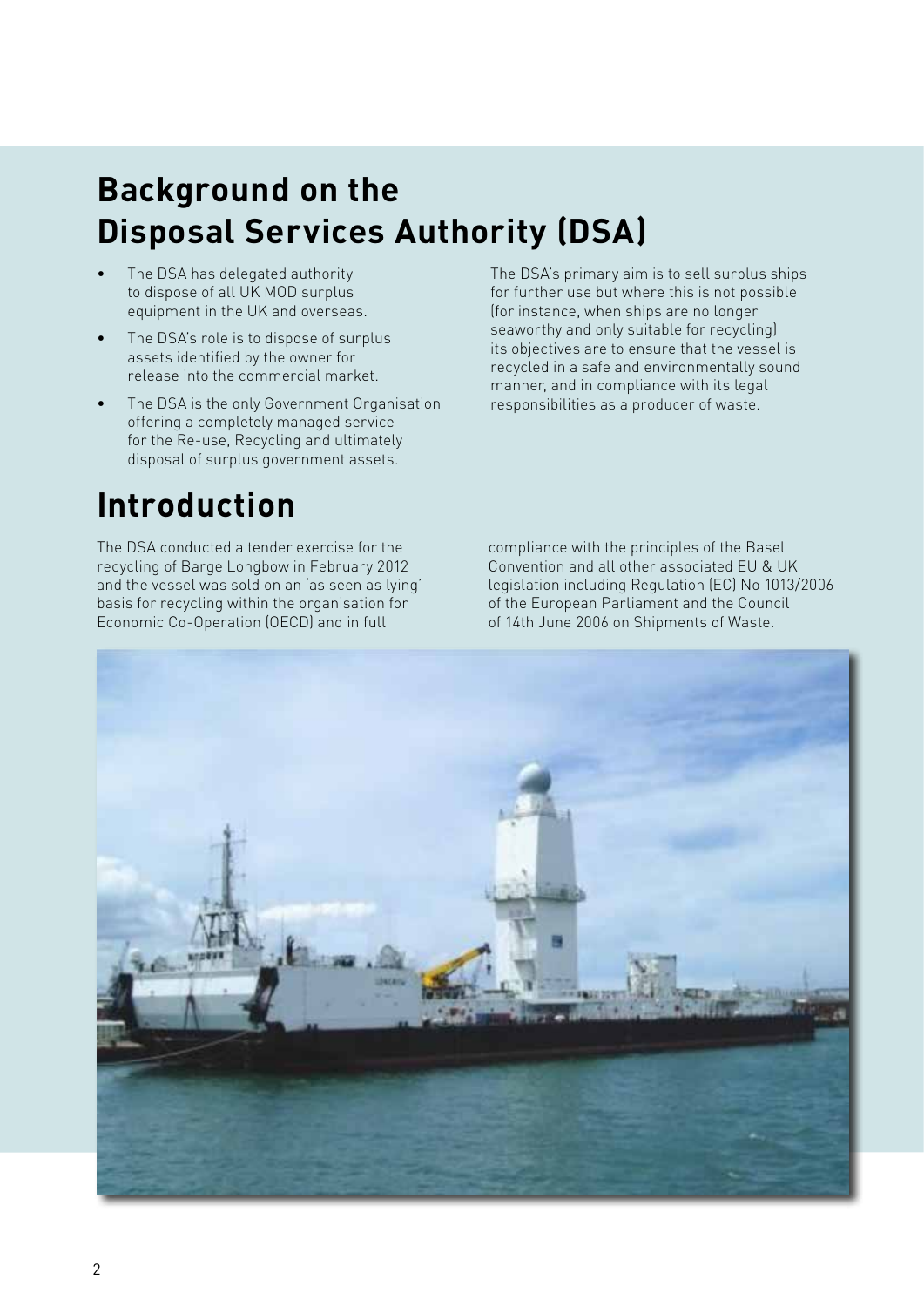# **Background on the Disposal Services Authority (DSA)**

- The DSA has delegated authority to dispose of all UK MOD surplus equipment in the UK and overseas.
- The DSA's role is to dispose of surplus assets identified by the owner for release into the commercial market.
- The DSA is the only Government Organisation offering a completely managed service for the Re-use, Recycling and ultimately disposal of surplus government assets.

# **Introduction**

The DSA conducted a tender exercise for the recycling of Barge Longbow in February 2012 and the vessel was sold on an 'as seen as lying' basis for recycling within the organisation for Economic Co-Operation (OECD) and in full

The DSA's primary aim is to sell surplus ships for further use but where this is not possible (for instance, when ships are no longer seaworthy and only suitable for recycling) its objectives are to ensure that the vessel is recycled in a safe and environmentally sound manner, and in compliance with its legal responsibilities as a producer of waste.

compliance with the principles of the Basel Convention and all other associated EU & UK legislation including Regulation (EC) No 1013/2006 of the European Parliament and the Council of 14th June 2006 on Shipments of Waste.

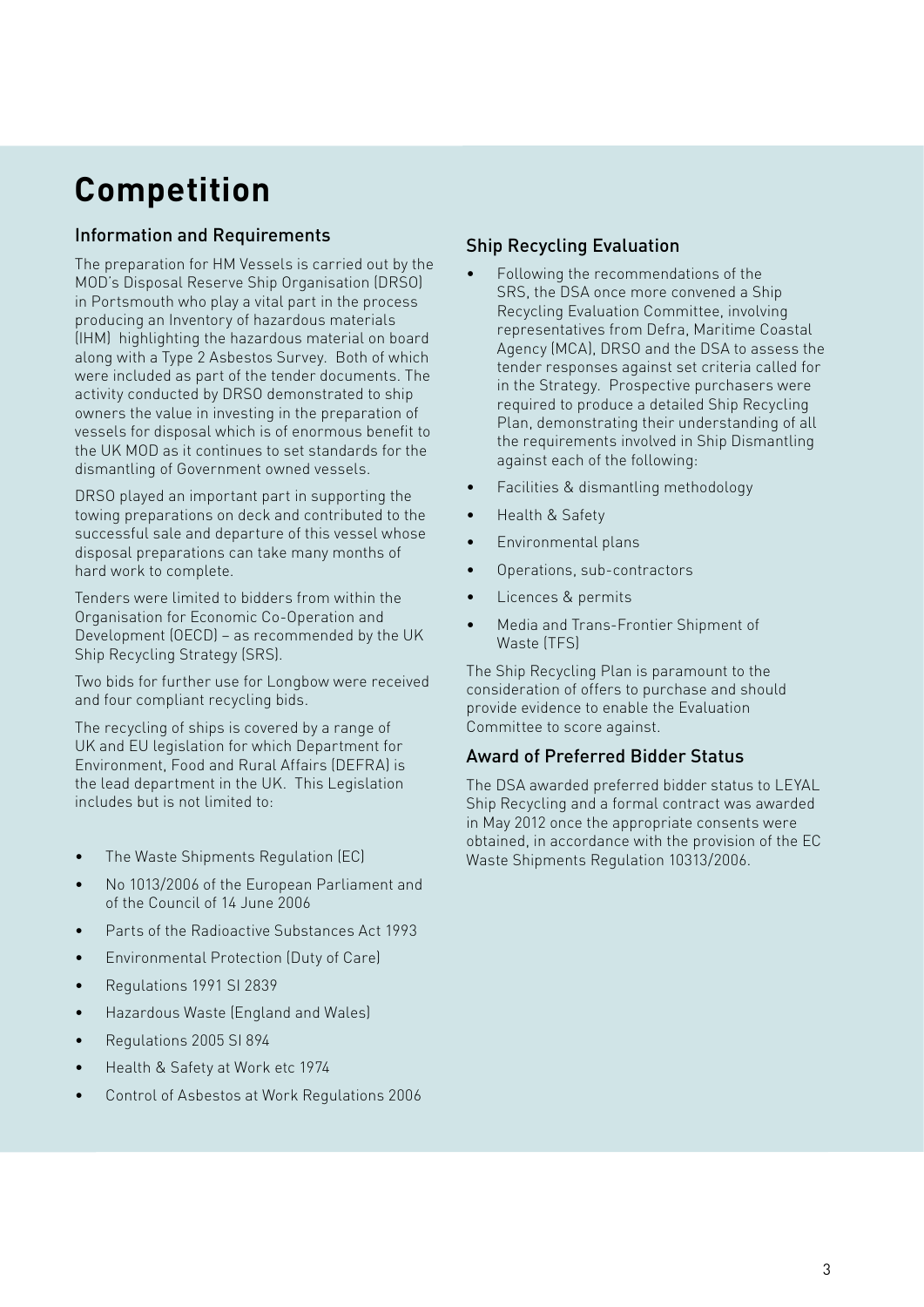# **Competition**

### Information and Requirements

The preparation for HM Vessels is carried out by the MOD's Disposal Reserve Ship Organisation (DRSO) in Portsmouth who play a vital part in the process producing an Inventory of hazardous materials (IHM) highlighting the hazardous material on board along with a Type 2 Asbestos Survey. Both of which were included as part of the tender documents. The activity conducted by DRSO demonstrated to ship owners the value in investing in the preparation of vessels for disposal which is of enormous benefit to the UK MOD as it continues to set standards for the dismantling of Government owned vessels.

DRSO played an important part in supporting the towing preparations on deck and contributed to the successful sale and departure of this vessel whose disposal preparations can take many months of hard work to complete.

Tenders were limited to bidders from within the Organisation for Economic Co-Operation and Development (OECD) – as recommended by the UK Ship Recycling Strategy (SRS).

Two bids for further use for Longbow were received and four compliant recycling bids.

The recycling of ships is covered by a range of UK and EU legislation for which Department for Environment, Food and Rural Affairs (DEFRA) is the lead department in the UK. This Legislation includes but is not limited to:

- The Waste Shipments Regulation (EC)
- No 1013/2006 of the European Parliament and of the Council of 14 June 2006
- Parts of the Radioactive Substances Act 1993
- Environmental Protection (Duty of Care)
- Regulations 1991 SI 2839
- Hazardous Waste (England and Wales)
- Regulations 2005 SI 894
- Health & Safety at Work etc 1974
- Control of Asbestos at Work Regulations 2006

### Ship Recycling Evaluation

- Following the recommendations of the SRS, the DSA once more convened a Ship Recycling Evaluation Committee, involving representatives from Defra, Maritime Coastal Agency (MCA), DRSO and the DSA to assess the tender responses against set criteria called for in the Strategy. Prospective purchasers were required to produce a detailed Ship Recycling Plan, demonstrating their understanding of all the requirements involved in Ship Dismantling against each of the following:
- Facilities & dismantling methodology
- Health & Safety
- Environmental plans
- Operations, sub-contractors
- Licences & permits
- Media and Trans-Frontier Shipment of Waste (TFS)

The Ship Recycling Plan is paramount to the consideration of offers to purchase and should provide evidence to enable the Evaluation Committee to score against.

### Award of Preferred Bidder Status

The DSA awarded preferred bidder status to LEYAL Ship Recycling and a formal contract was awarded in May 2012 once the appropriate consents were obtained, in accordance with the provision of the EC Waste Shipments Regulation 10313/2006.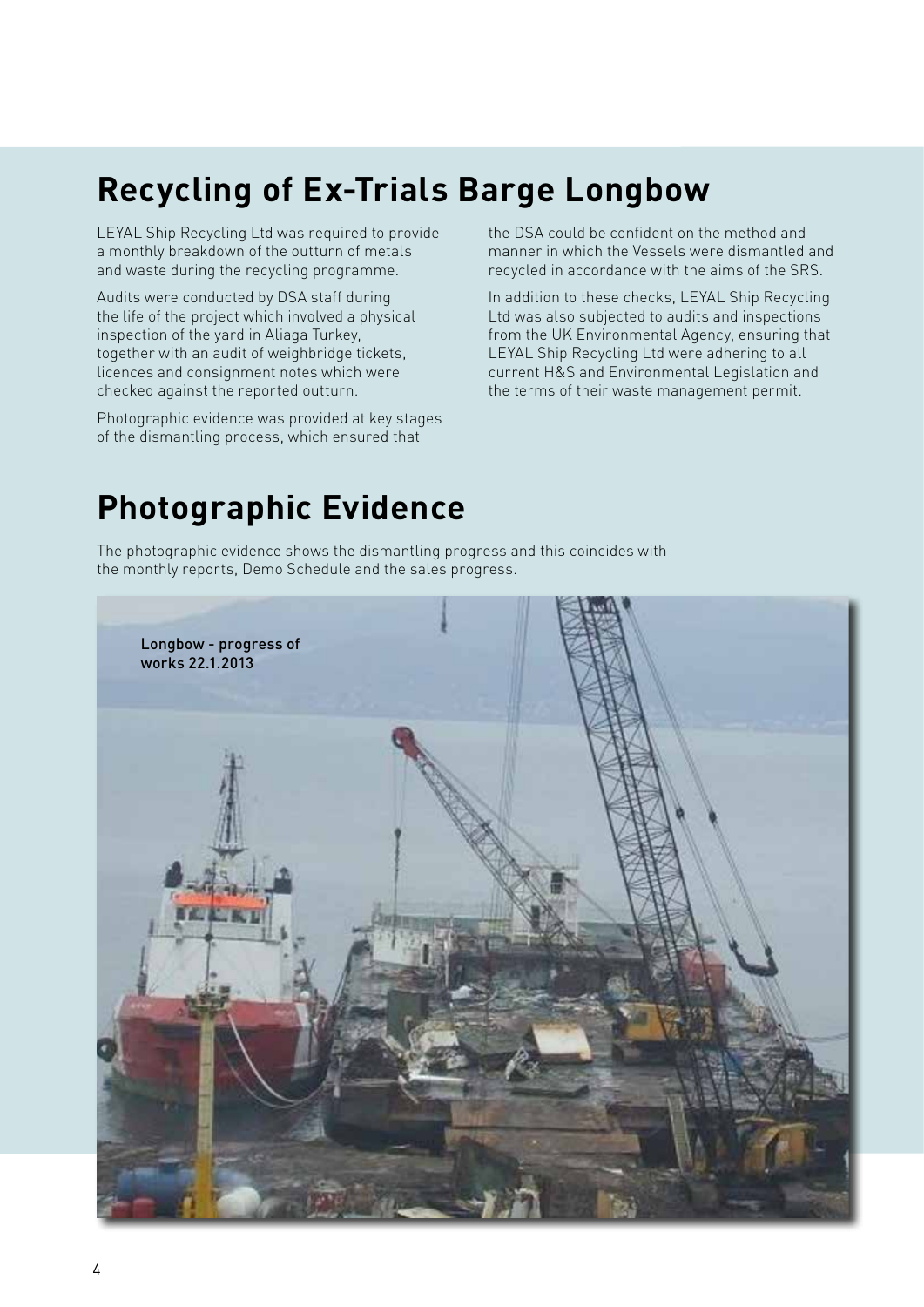# **Recycling of Ex-Trials Barge Longbow**

LEYAL Ship Recycling Ltd was required to provide a monthly breakdown of the outturn of metals and waste during the recycling programme.

Audits were conducted by DSA staff during the life of the project which involved a physical inspection of the yard in Aliaga Turkey, together with an audit of weighbridge tickets, licences and consignment notes which were checked against the reported outturn.

Photographic evidence was provided at key stages of the dismantling process, which ensured that

the DSA could be confident on the method and manner in which the Vessels were dismantled and recycled in accordance with the aims of the SRS.

In addition to these checks, LEYAL Ship Recycling Ltd was also subjected to audits and inspections from the UK Environmental Agency, ensuring that LEYAL Ship Recycling Ltd were adhering to all current H&S and Environmental Legislation and the terms of their waste management permit.

# **Photographic Evidence**

The photographic evidence shows the dismantling progress and this coincides with the monthly reports, Demo Schedule and the sales progress.

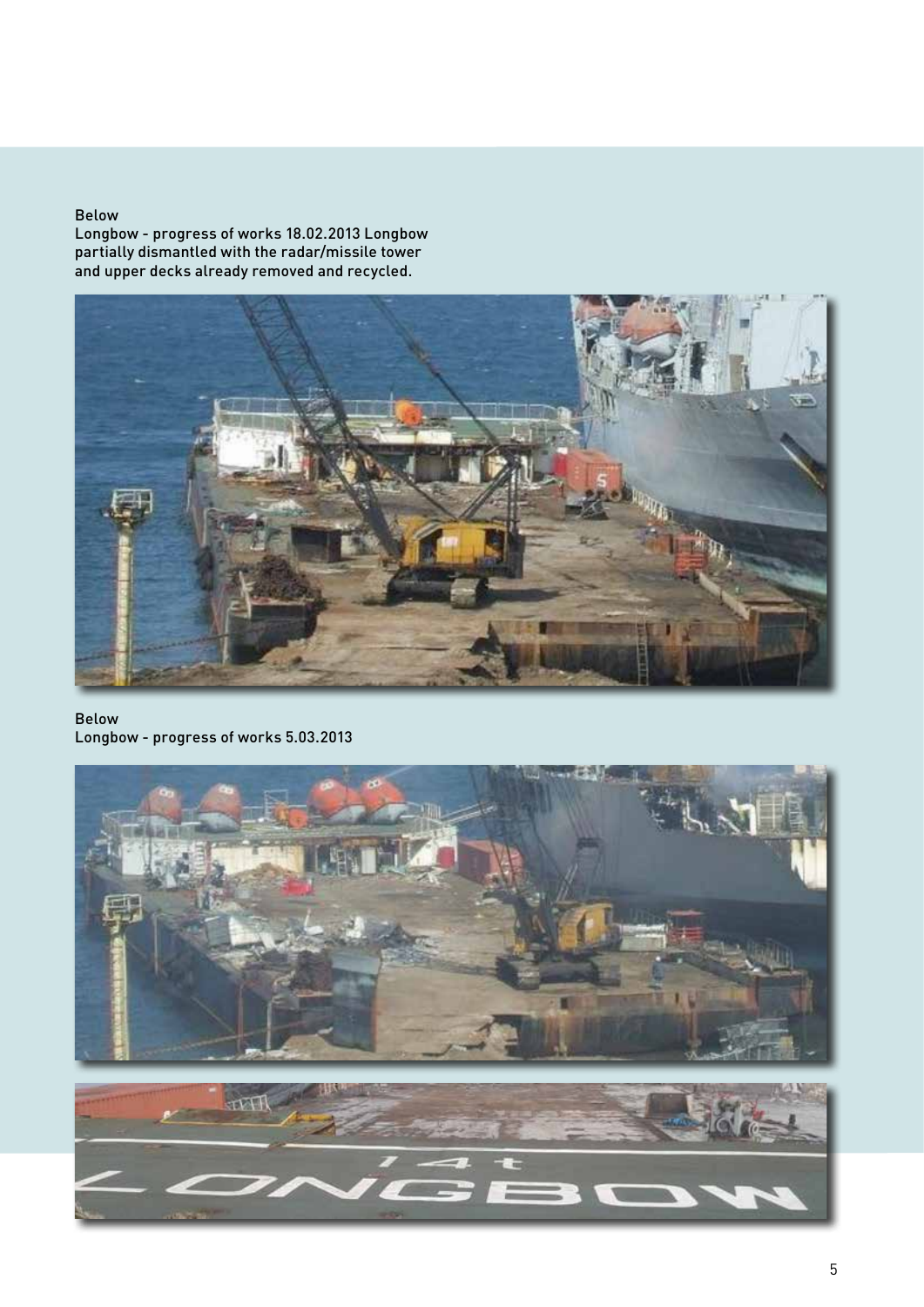#### Below

Longbow - progress of works 18.02.2013 Longbow partially dismantled with the radar/missile tower and upper decks already removed and recycled.



#### Below Longbow - progress of works 5.03.2013

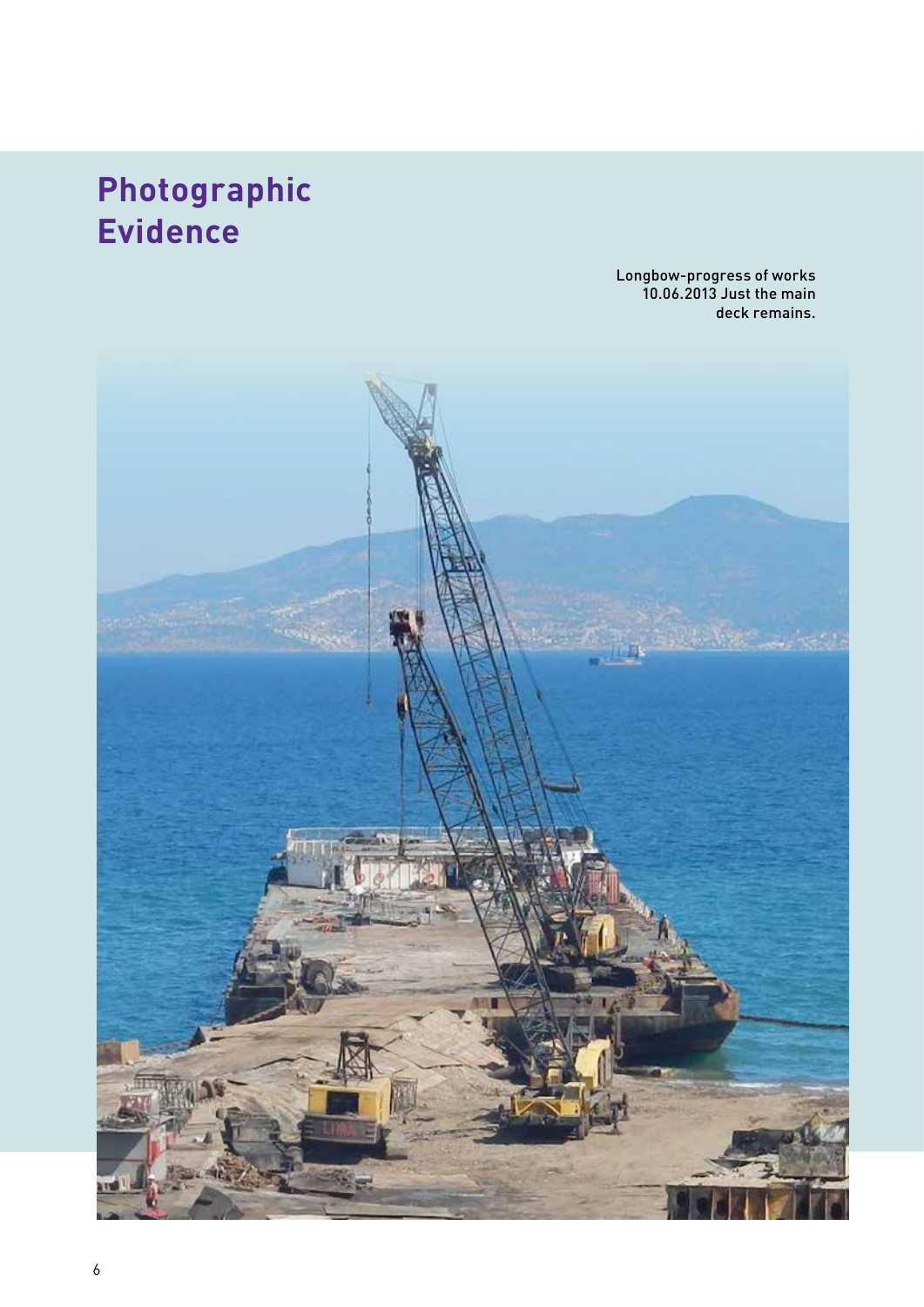# **Photographic Evidence**

Longbow-progress of works 10.06.2013 Just the main deck remains.

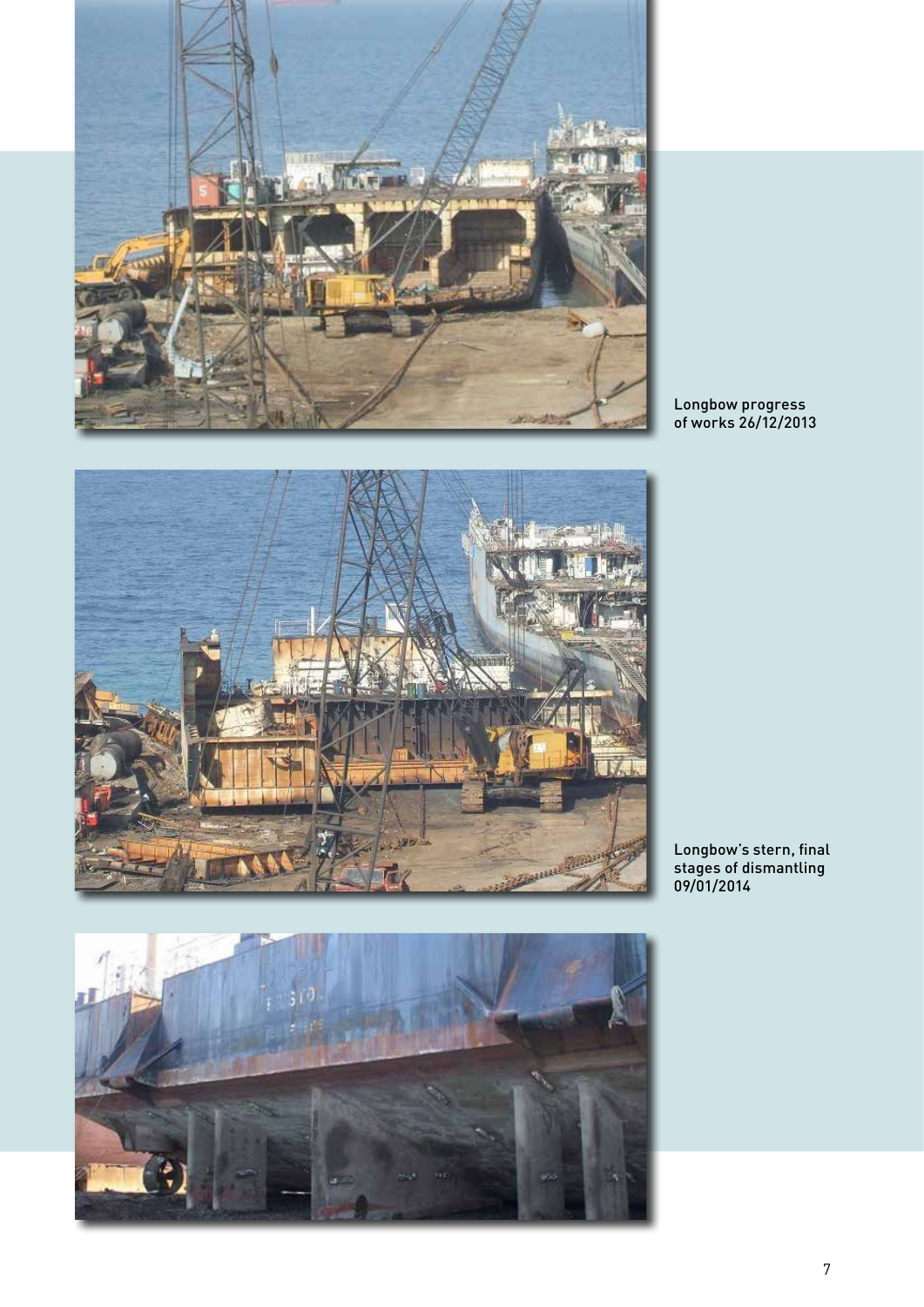

医单 STARTED



Longbow progress of works 26/12/2013

Longbow's stern, final stages of dismantling 09/01/2014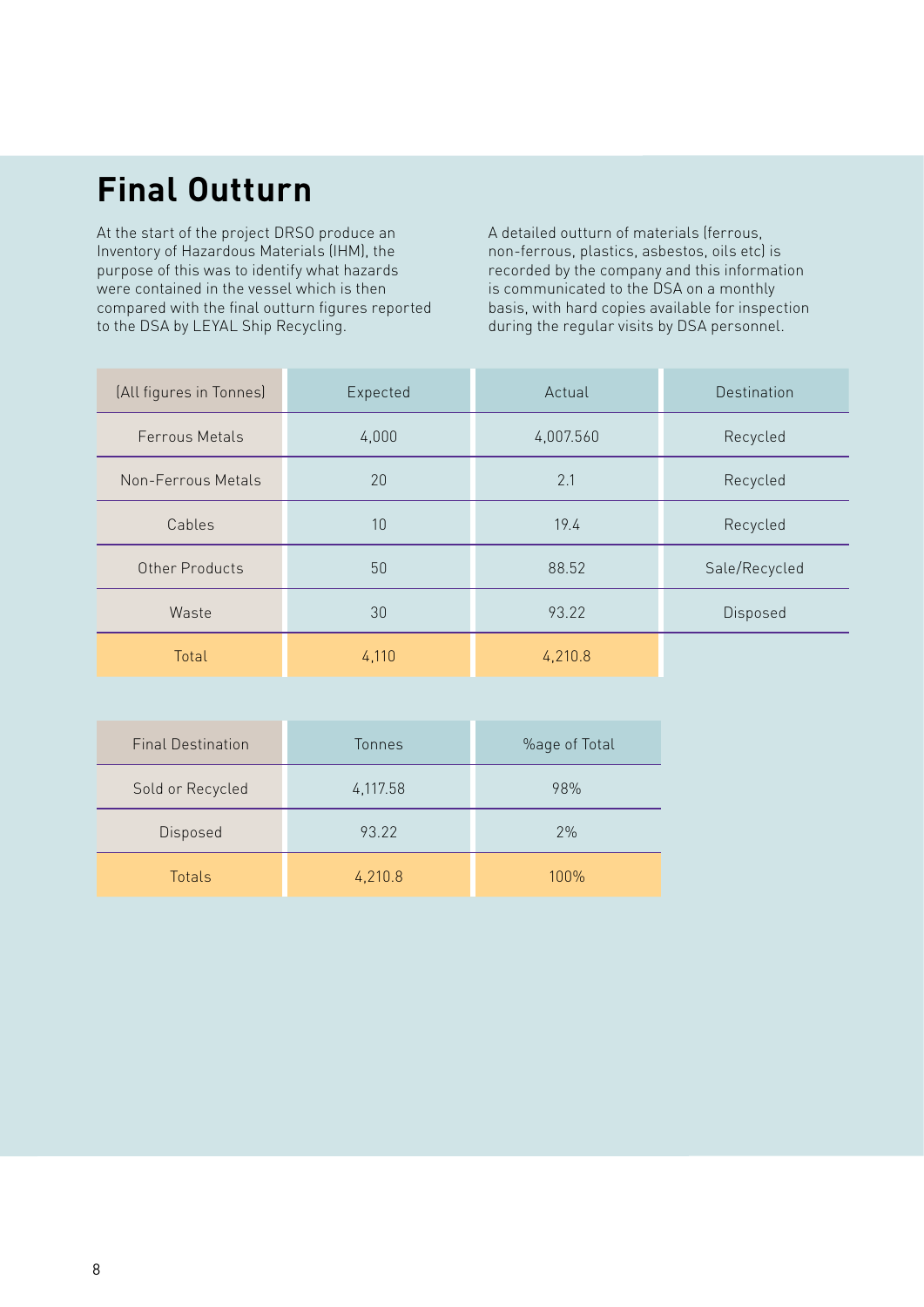# **Final Outturn**

At the start of the project DRSO produce an Inventory of Hazardous Materials (IHM), the purpose of this was to identify what hazards were contained in the vessel which is then compared with the final outturn figures reported to the DSA by LEYAL Ship Recycling.

A detailed outturn of materials (ferrous, non-ferrous, plastics, asbestos, oils etc) is recorded by the company and this information is communicated to the DSA on a monthly basis, with hard copies available for inspection during the regular visits by DSA personnel.

| (All figures in Tonnes) | Expected | Actual    | Destination   |
|-------------------------|----------|-----------|---------------|
| <b>Ferrous Metals</b>   | 4,000    | 4,007.560 | Recycled      |
| Non-Ferrous Metals      | 20       | 2.1       | Recycled      |
| Cables                  | 10       | 19.4      | Recycled      |
| Other Products          | 50       | 88.52     | Sale/Recycled |
| Waste                   | 30       | 93.22     | Disposed      |
| Total                   | 4,110    | 4,210.8   |               |

| <b>Final Destination</b> | Tonnes   | %age of Total |
|--------------------------|----------|---------------|
| Sold or Recycled         | 4,117.58 | 98%           |
| Disposed                 | 93.22    | 2%            |
| Totals                   | 4,210.8  | $100\%$       |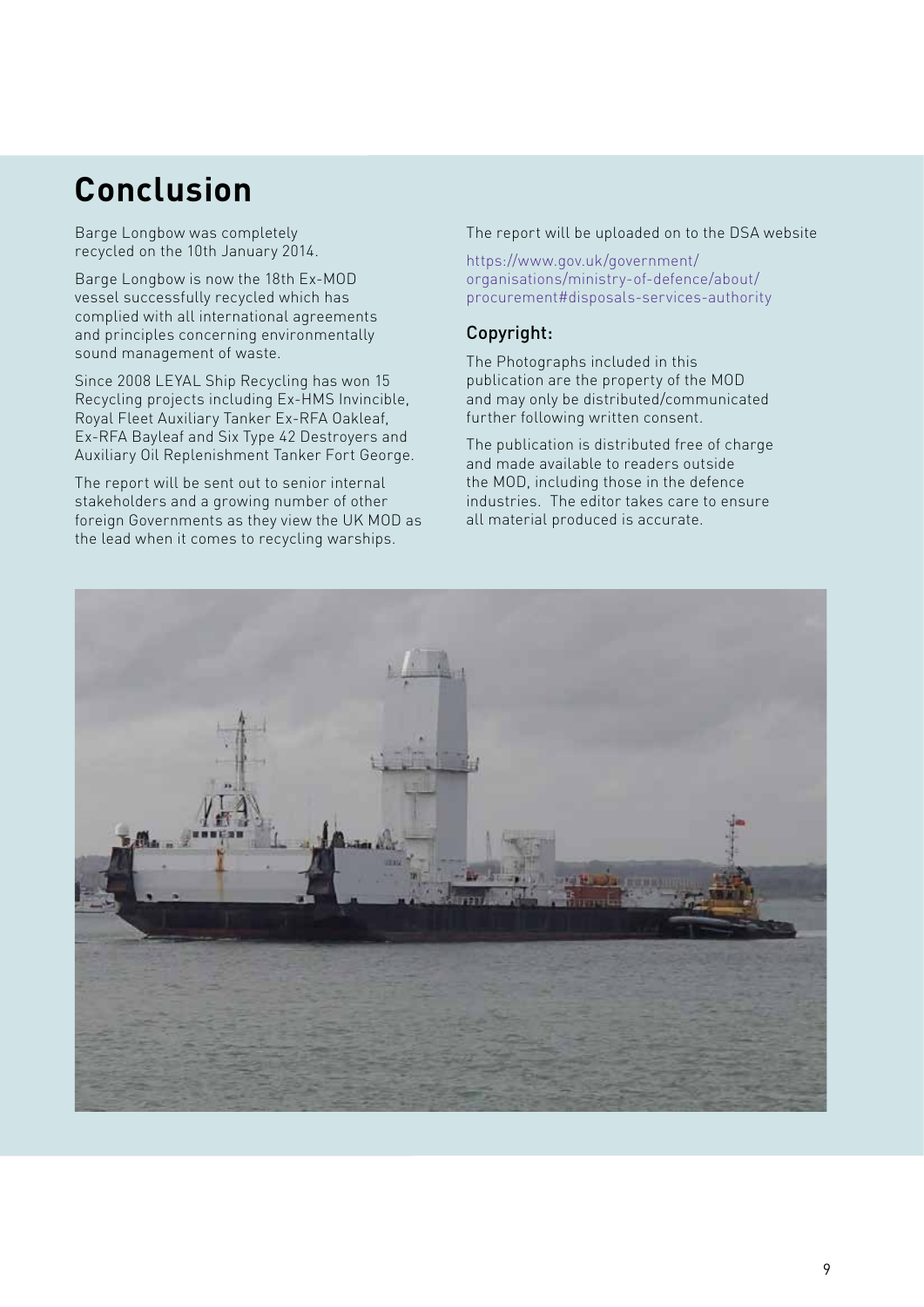# **Conclusion**

Barge Longbow was completely recycled on the 10th January 2014.

Barge Longbow is now the 18th Ex-MOD vessel successfully recycled which has complied with all international agreements and principles concerning environmentally sound management of waste.

Since 2008 LEYAL Ship Recycling has won 15 Recycling projects including Ex-HMS Invincible, Royal Fleet Auxiliary Tanker Ex-RFA Oakleaf, Ex-RFA Bayleaf and Six Type 42 Destroyers and Auxiliary Oil Replenishment Tanker Fort George.

The report will be sent out to senior internal stakeholders and a growing number of other foreign Governments as they view the UK MOD as the lead when it comes to recycling warships.

#### The report will be uploaded on to the DSA website

https://www.gov.uk/government/ organisations/ministry-of-defence/about/ procurement#disposals-services-authority

### Copyright:

The Photographs included in this publication are the property of the MOD and may only be distributed/communicated further following written consent.

The publication is distributed free of charge and made available to readers outside the MOD, including those in the defence industries. The editor takes care to ensure all material produced is accurate.